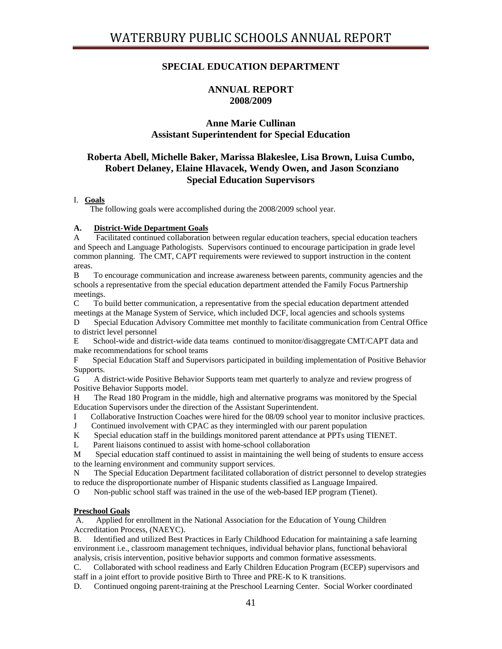# **SPECIAL EDUCATION DEPARTMENT**

# **ANNUAL REPORT 2008/2009**

# **Anne Marie Cullinan Assistant Superintendent for Special Education**

# **Roberta Abell, Michelle Baker, Marissa Blakeslee, Lisa Brown, Luisa Cumbo, Robert Delaney, Elaine Hlavacek, Wendy Owen, and Jason Sconziano Special Education Supervisors**

## I. **Goals**

The following goals were accomplished during the 2008/2009 school year.

## **A. District-Wide Department Goals**

A Facilitated continued collaboration between regular education teachers, special education teachers and Speech and Language Pathologists. Supervisors continued to encourage participation in grade level common planning. The CMT, CAPT requirements were reviewed to support instruction in the content areas.

B To encourage communication and increase awareness between parents, community agencies and the schools a representative from the special education department attended the Family Focus Partnership meetings.

C To build better communication, a representative from the special education department attended meetings at the Manage System of Service, which included DCF, local agencies and schools systems

D Special Education Advisory Committee met monthly to facilitate communication from Central Office to district level personnel

E School-wide and district-wide data teams continued to monitor/disaggregate CMT/CAPT data and make recommendations for school teams

F Special Education Staff and Supervisors participated in building implementation of Positive Behavior Supports.

G A district-wide Positive Behavior Supports team met quarterly to analyze and review progress of Positive Behavior Supports model.

H The Read 180 Program in the middle, high and alternative programs was monitored by the Special Education Supervisors under the direction of the Assistant Superintendent.

I Collaborative Instruction Coaches were hired for the 08/09 school year to monitor inclusive practices.

J Continued involvement with CPAC as they intermingled with our parent population

K Special education staff in the buildings monitored parent attendance at PPTs using TIENET.

L Parent liaisons continued to assist with home-school collaboration

M Special education staff continued to assist in maintaining the well being of students to ensure access to the learning environment and community support services.

N The Special Education Department facilitated collaboration of district personnel to develop strategies to reduce the disproportionate number of Hispanic students classified as Language Impaired.

O Non-public school staff was trained in the use of the web-based IEP program (Tienet).

## **Preschool Goals**

 A. Applied for enrollment in the National Association for the Education of Young Children Accreditation Process, (NAEYC).

B. Identified and utilized Best Practices in Early Childhood Education for maintaining a safe learning environment i.e., classroom management techniques, individual behavior plans, functional behavioral analysis, crisis intervention, positive behavior supports and common formative assessments.

C. Collaborated with school readiness and Early Children Education Program (ECEP) supervisors and staff in a joint effort to provide positive Birth to Three and PRE-K to K transitions.

D. Continued ongoing parent-training at the Preschool Learning Center. Social Worker coordinated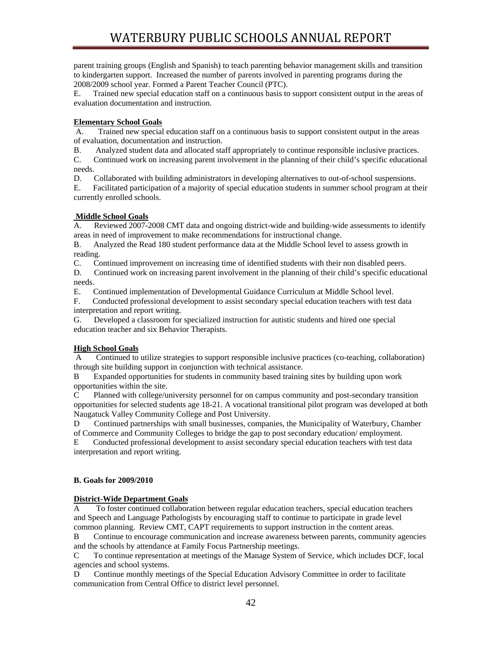parent training groups (English and Spanish) to teach parenting behavior management skills and transition to kindergarten support. Increased the number of parents involved in parenting programs during the 2008/2009 school year. Formed a Parent Teacher Council (PTC).

E. Trained new special education staff on a continuous basis to support consistent output in the areas of evaluation documentation and instruction.

## **Elementary School Goals**

 A. Trained new special education staff on a continuous basis to support consistent output in the areas of evaluation, documentation and instruction.

B. Analyzed student data and allocated staff appropriately to continue responsible inclusive practices.

C. Continued work on increasing parent involvement in the planning of their child's specific educational needs.

D. Collaborated with building administrators in developing alternatives to out-of-school suspensions.

E. Facilitated participation of a majority of special education students in summer school program at their currently enrolled schools.

## **Middle School Goals**

A. Reviewed 2007-2008 CMT data and ongoing district-wide and building-wide assessments to identify areas in need of improvement to make recommendations for instructional change.

B. Analyzed the Read 180 student performance data at the Middle School level to assess growth in reading.

C. Continued improvement on increasing time of identified students with their non disabled peers.

D. Continued work on increasing parent involvement in the planning of their child's specific educational needs.

E. Continued implementation of Developmental Guidance Curriculum at Middle School level.

F. Conducted professional development to assist secondary special education teachers with test data interpretation and report writing.

G. Developed a classroom for specialized instruction for autistic students and hired one special education teacher and six Behavior Therapists.

## **High School Goals**

 A Continued to utilize strategies to support responsible inclusive practices (co-teaching, collaboration) through site building support in conjunction with technical assistance.

B Expanded opportunities for students in community based training sites by building upon work opportunities within the site.

C Planned with college/university personnel for on campus community and post-secondary transition opportunities for selected students age 18-21. A vocational transitional pilot program was developed at both Naugatuck Valley Community College and Post University.

D Continued partnerships with small businesses, companies, the Municipality of Waterbury, Chamber of Commerce and Community Colleges to bridge the gap to post secondary education/ employment.

E Conducted professional development to assist secondary special education teachers with test data interpretation and report writing.

## **B. Goals for 2009/2010**

## **District-Wide Department Goals**

A To foster continued collaboration between regular education teachers, special education teachers and Speech and Language Pathologists by encouraging staff to continue to participate in grade level common planning. Review CMT, CAPT requirements to support instruction in the content areas.

B Continue to encourage communication and increase awareness between parents, community agencies and the schools by attendance at Family Focus Partnership meetings.

C To continue representation at meetings of the Manage System of Service, which includes DCF, local agencies and school systems.

D Continue monthly meetings of the Special Education Advisory Committee in order to facilitate communication from Central Office to district level personnel.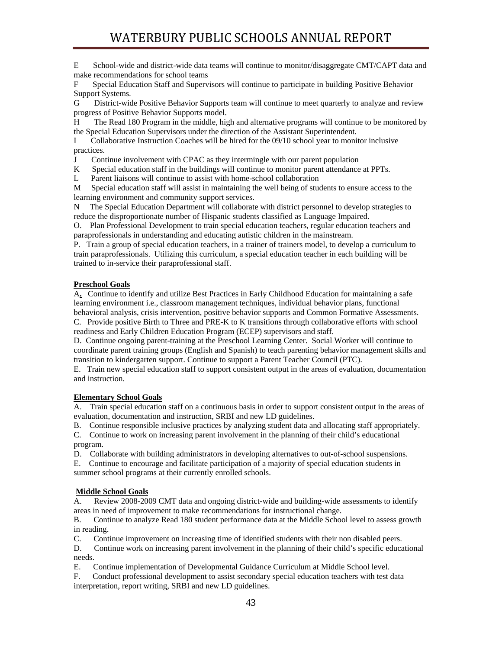E School-wide and district-wide data teams will continue to monitor/disaggregate CMT/CAPT data and make recommendations for school teams

F Special Education Staff and Supervisors will continue to participate in building Positive Behavior Support Systems.

G District-wide Positive Behavior Supports team will continue to meet quarterly to analyze and review progress of Positive Behavior Supports model.

H The Read 180 Program in the middle, high and alternative programs will continue to be monitored by the Special Education Supervisors under the direction of the Assistant Superintendent.

I Collaborative Instruction Coaches will be hired for the 09/10 school year to monitor inclusive practices.

J Continue involvement with CPAC as they intermingle with our parent population

K Special education staff in the buildings will continue to monitor parent attendance at PPTs.

L Parent liaisons will continue to assist with home-school collaboration

M Special education staff will assist in maintaining the well being of students to ensure access to the learning environment and community support services.

N The Special Education Department will collaborate with district personnel to develop strategies to reduce the disproportionate number of Hispanic students classified as Language Impaired.

O. Plan Professional Development to train special education teachers, regular education teachers and paraprofessionals in understanding and educating autistic children in the mainstream.

P. Train a group of special education teachers, in a trainer of trainers model, to develop a curriculum to train paraprofessionals. Utilizing this curriculum, a special education teacher in each building will be trained to in-service their paraprofessional staff.

## **Preschool Goals**

A**.** Continue to identify and utilize Best Practices in Early Childhood Education for maintaining a safe learning environment i.e., classroom management techniques, individual behavior plans, functional behavioral analysis, crisis intervention, positive behavior supports and Common Formative Assessments. C. Provide positive Birth to Three and PRE-K to K transitions through collaborative efforts with school

readiness and Early Children Education Program (ECEP) supervisors and staff.

D. Continue ongoing parent-training at the Preschool Learning Center. Social Worker will continue to coordinate parent training groups (English and Spanish) to teach parenting behavior management skills and transition to kindergarten support. Continue to support a Parent Teacher Council (PTC).

E. Train new special education staff to support consistent output in the areas of evaluation, documentation and instruction.

#### **Elementary School Goals**

A. Train special education staff on a continuous basis in order to support consistent output in the areas of evaluation, documentation and instruction, SRBI and new LD guidelines.

B. Continue responsible inclusive practices by analyzing student data and allocating staff appropriately.

C. Continue to work on increasing parent involvement in the planning of their child's educational program.

D. Collaborate with building administrators in developing alternatives to out-of-school suspensions.

E. Continue to encourage and facilitate participation of a majority of special education students in summer school programs at their currently enrolled schools.

## **Middle School Goals**

A. Review 2008-2009 CMT data and ongoing district-wide and building-wide assessments to identify areas in need of improvement to make recommendations for instructional change.

B. Continue to analyze Read 180 student performance data at the Middle School level to assess growth in reading.

C. Continue improvement on increasing time of identified students with their non disabled peers.

D. Continue work on increasing parent involvement in the planning of their child's specific educational needs.

E. Continue implementation of Developmental Guidance Curriculum at Middle School level.

F. Conduct professional development to assist secondary special education teachers with test data interpretation, report writing, SRBI and new LD guidelines.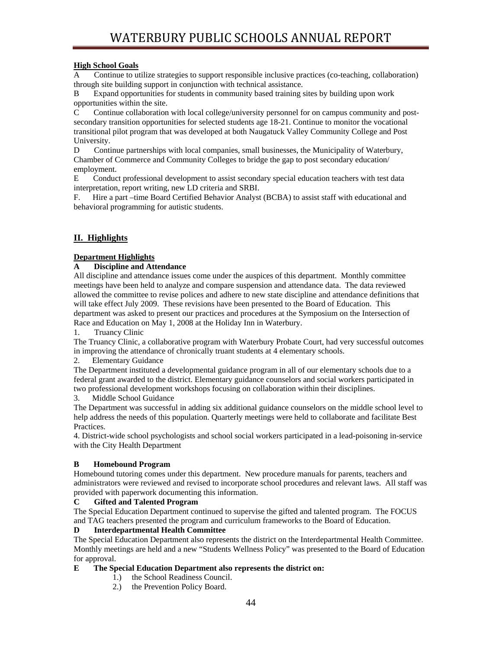## **High School Goals**

A Continue to utilize strategies to support responsible inclusive practices (co-teaching, collaboration) through site building support in conjunction with technical assistance.

B Expand opportunities for students in community based training sites by building upon work opportunities within the site.

C Continue collaboration with local college/university personnel for on campus community and postsecondary transition opportunities for selected students age 18-21. Continue to monitor the vocational transitional pilot program that was developed at both Naugatuck Valley Community College and Post University.

D Continue partnerships with local companies, small businesses, the Municipality of Waterbury, Chamber of Commerce and Community Colleges to bridge the gap to post secondary education/ employment.

E Conduct professional development to assist secondary special education teachers with test data interpretation, report writing, new LD criteria and SRBI.

F. Hire a part –time Board Certified Behavior Analyst (BCBA) to assist staff with educational and behavioral programming for autistic students.

# **II. Highlights**

## **Department Highlights**

## **A Discipline and Attendance**

All discipline and attendance issues come under the auspices of this department. Monthly committee meetings have been held to analyze and compare suspension and attendance data. The data reviewed allowed the committee to revise polices and adhere to new state discipline and attendance definitions that will take effect July 2009. These revisions have been presented to the Board of Education. This department was asked to present our practices and procedures at the Symposium on the Intersection of Race and Education on May 1, 2008 at the Holiday Inn in Waterbury.

1. Truancy Clinic

The Truancy Clinic, a collaborative program with Waterbury Probate Court, had very successful outcomes in improving the attendance of chronically truant students at 4 elementary schools.

2. Elementary Guidance

The Department instituted a developmental guidance program in all of our elementary schools due to a federal grant awarded to the district. Elementary guidance counselors and social workers participated in two professional development workshops focusing on collaboration within their disciplines.

3. Middle School Guidance

The Department was successful in adding six additional guidance counselors on the middle school level to help address the needs of this population. Quarterly meetings were held to collaborate and facilitate Best Practices.

4. District-wide school psychologists and school social workers participated in a lead-poisoning in-service with the City Health Department

## **B Homebound Program**

Homebound tutoring comes under this department. New procedure manuals for parents, teachers and administrators were reviewed and revised to incorporate school procedures and relevant laws. All staff was provided with paperwork documenting this information.

## **C Gifted and Talented Program**

The Special Education Department continued to supervise the gifted and talented program. The FOCUS and TAG teachers presented the program and curriculum frameworks to the Board of Education.

## **D Interdepartmental Health Committee**

The Special Education Department also represents the district on the Interdepartmental Health Committee. Monthly meetings are held and a new "Students Wellness Policy" was presented to the Board of Education for approval.

## **E The Special Education Department also represents the district on:**

- 1.) the School Readiness Council.
- 2.) the Prevention Policy Board.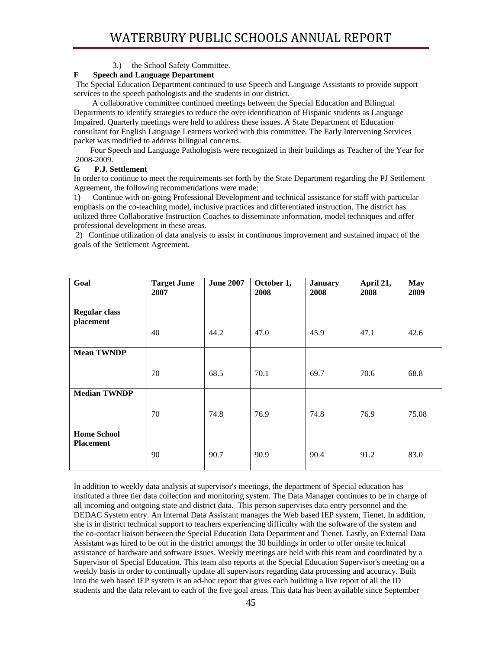## 3.) the School Safety Committee.

## **F Speech and Language Department**

 The Special Education Department continued to use Speech and Language Assistants to provide support services to the speech pathologists and the students in our district.

 A collaborative committee continued meetings between the Special Education and Bilingual Departments to identify strategies to reduce the over identification of Hispanic students as Language Impaired. Quarterly meetings were held to address these issues. A State Department of Education consultant for English Language Learners worked with this committee. The Early Intervening Services packet was modified to address bilingual concerns.

 Four Speech and Language Pathologists were recognized in their buildings as Teacher of the Year for 2008-2009.

## **G P.J. Settlement**

In order to continue to meet the requirements set forth by the State Department regarding the PJ Settlement Agreement, the following recommendations were made:

1) Continue with on-going Professional Development and technical assistance for staff with particular emphasis on the co-teaching model, inclusive practices and differentiated instruction. The district has utilized three Collaborative Instruction Coaches to disseminate information, model techniques and offer professional development in these areas.

 2) Continue utilization of data analysis to assist in continuous improvement and sustained impact of the goals of the Settlement Agreement.

| Goal                                   | <b>Target June</b><br>2007 | <b>June 2007</b> | October 1,<br>2008 | <b>January</b><br>2008 | April 21,<br>2008 | <b>May</b><br>2009 |
|----------------------------------------|----------------------------|------------------|--------------------|------------------------|-------------------|--------------------|
| <b>Regular class</b><br>placement      | 40                         | 44.2             | 47.0               | 45.9                   | 47.1              | 42.6               |
| <b>Mean TWNDP</b>                      | 70                         | 68.5             | 70.1               | 69.7                   | 70.6              | 68.8               |
| <b>Median TWNDP</b>                    | 70                         | 74.8             | 76.9               | 74.8                   | 76.9              | 75.08              |
| <b>Home School</b><br><b>Placement</b> | 90                         | 90.7             | 90.9               | 90.4                   | 91.2              | 83.0               |

In addition to weekly data analysis at supervisor's meetings, the department of Special education has instituted a three tier data collection and monitoring system. The Data Manager continues to be in charge of all incoming and outgoing state and district data. This person supervises data entry personnel and the DEDAC System entry. An Internal Data Assistant manages the Web based IEP system, Tienet. In addition, she is in district technical support to teachers experiencing difficulty with the software of the system and the co-contact liaison between the Special Education Data Department and Tienet. Lastly, an External Data Assistant was hired to be out in the district amongst the 30 buildings in order to offer onsite technical assistance of hardware and software issues. Weekly meetings are held with this team and coordinated by a Supervisor of Special Education. This team also reports at the Special Education Supervisor's meeting on a weekly basis in order to continually update all supervisors regarding data processing and accuracy. Built into the web based IEP system is an ad-hoc report that gives each building a live report of all the ID students and the data relevant to each of the five goal areas. This data has been available since September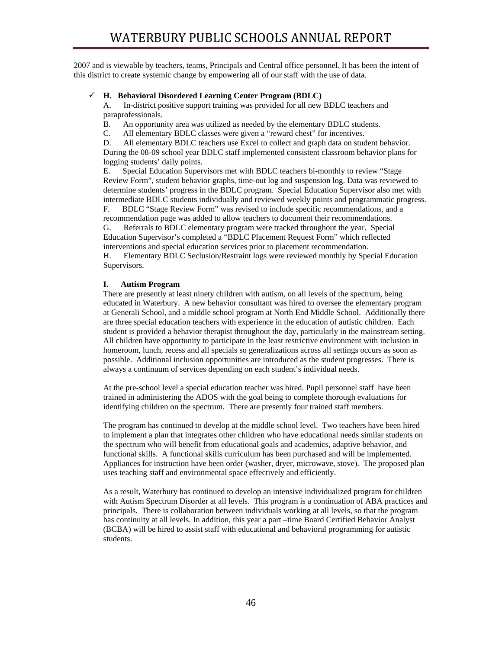2007 and is viewable by teachers, teams, Principals and Central office personnel. It has been the intent of this district to create systemic change by empowering all of our staff with the use of data.

## 9 **H. Behavioral Disordered Learning Center Program (BDLC)**

A. In-district positive support training was provided for all new BDLC teachers and paraprofessionals.

B. An opportunity area was utilized as needed by the elementary BDLC students.

C. All elementary BDLC classes were given a "reward chest" for incentives.

D. All elementary BDLC teachers use Excel to collect and graph data on student behavior. During the 08-09 school year BDLC staff implemented consistent classroom behavior plans for logging students' daily points.

E. Special Education Supervisors met with BDLC teachers bi-monthly to review "Stage Review Form", student behavior graphs, time-out log and suspension log. Data was reviewed to determine students' progress in the BDLC program. Special Education Supervisor also met with intermediate BDLC students individually and reviewed weekly points and programmatic progress.

F. BDLC "Stage Review Form" was revised to include specific recommendations, and a recommendation page was added to allow teachers to document their recommendations. G. Referrals to BDLC elementary program were tracked throughout the year. Special Education Supervisor's completed a "BDLC Placement Request Form" which reflected interventions and special education services prior to placement recommendation.

H. Elementary BDLC Seclusion/Restraint logs were reviewed monthly by Special Education Supervisors.

## **I. Autism Program**

There are presently at least ninety children with autism, on all levels of the spectrum, being educated in Waterbury. A new behavior consultant was hired to oversee the elementary program at Generali School, and a middle school program at North End Middle School. Additionally there are three special education teachers with experience in the education of autistic children. Each student is provided a behavior therapist throughout the day, particularly in the mainstream setting. All children have opportunity to participate in the least restrictive environment with inclusion in homeroom, lunch, recess and all specials so generalizations across all settings occurs as soon as possible. Additional inclusion opportunities are introduced as the student progresses. There is always a continuum of services depending on each student's individual needs.

At the pre-school level a special education teacher was hired. Pupil personnel staff have been trained in administering the ADOS with the goal being to complete thorough evaluations for identifying children on the spectrum. There are presently four trained staff members.

The program has continued to develop at the middle school level. Two teachers have been hired to implement a plan that integrates other children who have educational needs similar students on the spectrum who will benefit from educational goals and academics, adaptive behavior, and functional skills. A functional skills curriculum has been purchased and will be implemented. Appliances for instruction have been order (washer, dryer, microwave, stove). The proposed plan uses teaching staff and environmental space effectively and efficiently.

As a result, Waterbury has continued to develop an intensive individualized program for children with Autism Spectrum Disorder at all levels. This program is a continuation of ABA practices and principals. There is collaboration between individuals working at all levels, so that the program has continuity at all levels. In addition, this year a part –time Board Certified Behavior Analyst (BCBA) will be hired to assist staff with educational and behavioral programming for autistic students.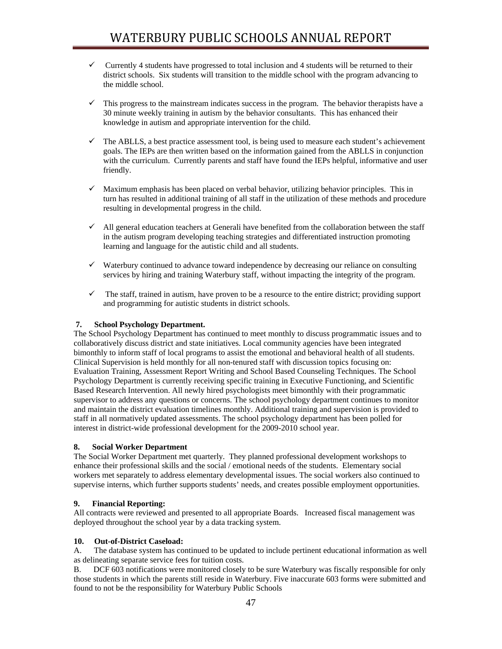- $\checkmark$  Currently 4 students have progressed to total inclusion and 4 students will be returned to their district schools. Six students will transition to the middle school with the program advancing to the middle school.
- $\checkmark$  This progress to the mainstream indicates success in the program. The behavior therapists have a 30 minute weekly training in autism by the behavior consultants. This has enhanced their knowledge in autism and appropriate intervention for the child.
- $\checkmark$  The ABLLS, a best practice assessment tool, is being used to measure each student's achievement goals. The IEPs are then written based on the information gained from the ABLLS in conjunction with the curriculum. Currently parents and staff have found the IEPs helpful, informative and user friendly.
- $\checkmark$  Maximum emphasis has been placed on verbal behavior, utilizing behavior principles. This in turn has resulted in additional training of all staff in the utilization of these methods and procedure resulting in developmental progress in the child.
- $\checkmark$  All general education teachers at Generali have benefited from the collaboration between the staff in the autism program developing teaching strategies and differentiated instruction promoting learning and language for the autistic child and all students.
- $\checkmark$  Waterbury continued to advance toward independence by decreasing our reliance on consulting services by hiring and training Waterbury staff, without impacting the integrity of the program.
- $\checkmark$  The staff, trained in autism, have proven to be a resource to the entire district; providing support and programming for autistic students in district schools.

## **7. School Psychology Department.**

The School Psychology Department has continued to meet monthly to discuss programmatic issues and to collaboratively discuss district and state initiatives. Local community agencies have been integrated bimonthly to inform staff of local programs to assist the emotional and behavioral health of all students. Clinical Supervision is held monthly for all non-tenured staff with discussion topics focusing on: Evaluation Training, Assessment Report Writing and School Based Counseling Techniques. The School Psychology Department is currently receiving specific training in Executive Functioning, and Scientific Based Research Intervention. All newly hired psychologists meet bimonthly with their programmatic supervisor to address any questions or concerns. The school psychology department continues to monitor and maintain the district evaluation timelines monthly. Additional training and supervision is provided to staff in all normatively updated assessments. The school psychology department has been polled for interest in district-wide professional development for the 2009-2010 school year.

## **8. Social Worker Department**

The Social Worker Department met quarterly. They planned professional development workshops to enhance their professional skills and the social / emotional needs of the students. Elementary social workers met separately to address elementary developmental issues. The social workers also continued to supervise interns, which further supports students' needs, and creates possible employment opportunities.

## **9. Financial Reporting:**

All contracts were reviewed and presented to all appropriate Boards. Increased fiscal management was deployed throughout the school year by a data tracking system.

## **10. Out-of-District Caseload:**

A. The database system has continued to be updated to include pertinent educational information as well as delineating separate service fees for tuition costs.

B. DCF 603 notifications were monitored closely to be sure Waterbury was fiscally responsible for only those students in which the parents still reside in Waterbury. Five inaccurate 603 forms were submitted and found to not be the responsibility for Waterbury Public Schools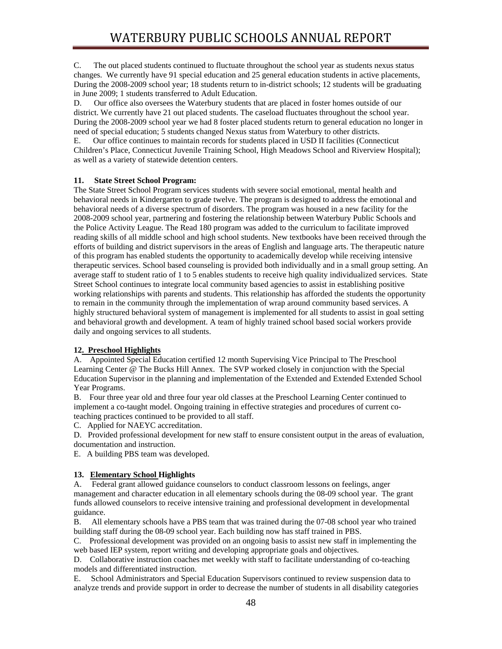C. The out placed students continued to fluctuate throughout the school year as students nexus status changes. We currently have 91 special education and 25 general education students in active placements, During the 2008-2009 school year; 18 students return to in-district schools; 12 students will be graduating in June 2009; 1 students transferred to Adult Education.

D. Our office also oversees the Waterbury students that are placed in foster homes outside of our district. We currently have 21 out placed students. The caseload fluctuates throughout the school year. During the 2008-2009 school year we had 8 foster placed students return to general education no longer in need of special education; 5 students changed Nexus status from Waterbury to other districts.

E. Our office continues to maintain records for students placed in USD II facilities (Connecticut Children's Place, Connecticut Juvenile Training School, High Meadows School and Riverview Hospital); as well as a variety of statewide detention centers.

## **11. State Street School Program:**

The State Street School Program services students with severe social emotional, mental health and behavioral needs in Kindergarten to grade twelve. The program is designed to address the emotional and behavioral needs of a diverse spectrum of disorders. The program was housed in a new facility for the 2008-2009 school year, partnering and fostering the relationship between Waterbury Public Schools and the Police Activity League. The Read 180 program was added to the curriculum to facilitate improved reading skills of all middle school and high school students. New textbooks have been received through the efforts of building and district supervisors in the areas of English and language arts. The therapeutic nature of this program has enabled students the opportunity to academically develop while receiving intensive therapeutic services. School based counseling is provided both individually and in a small group setting. An average staff to student ratio of 1 to 5 enables students to receive high quality individualized services. State Street School continues to integrate local community based agencies to assist in establishing positive working relationships with parents and students. This relationship has afforded the students the opportunity to remain in the community through the implementation of wrap around community based services. A highly structured behavioral system of management is implemented for all students to assist in goal setting and behavioral growth and development. A team of highly trained school based social workers provide daily and ongoing services to all students.

#### **12. Preschool Highlights**

A. Appointed Special Education certified 12 month Supervising Vice Principal to The Preschool Learning Center @ The Bucks Hill Annex. The SVP worked closely in conjunction with the Special Education Supervisor in the planning and implementation of the Extended and Extended Extended School Year Programs.

B. Four three year old and three four year old classes at the Preschool Learning Center continued to implement a co-taught model. Ongoing training in effective strategies and procedures of current coteaching practices continued to be provided to all staff.

C. Applied for NAEYC accreditation.

D. Provided professional development for new staff to ensure consistent output in the areas of evaluation, documentation and instruction.

E. A building PBS team was developed.

## **13. Elementary School Highlights**

A. Federal grant allowed guidance counselors to conduct classroom lessons on feelings, anger management and character education in all elementary schools during the 08-09 school year. The grant funds allowed counselors to receive intensive training and professional development in developmental guidance.

B. All elementary schools have a PBS team that was trained during the 07-08 school year who trained building staff during the 08-09 school year. Each building now has staff trained in PBS.

C. Professional development was provided on an ongoing basis to assist new staff in implementing the web based IEP system, report writing and developing appropriate goals and objectives.

D. Collaborative instruction coaches met weekly with staff to facilitate understanding of co-teaching models and differentiated instruction.

E. School Administrators and Special Education Supervisors continued to review suspension data to analyze trends and provide support in order to decrease the number of students in all disability categories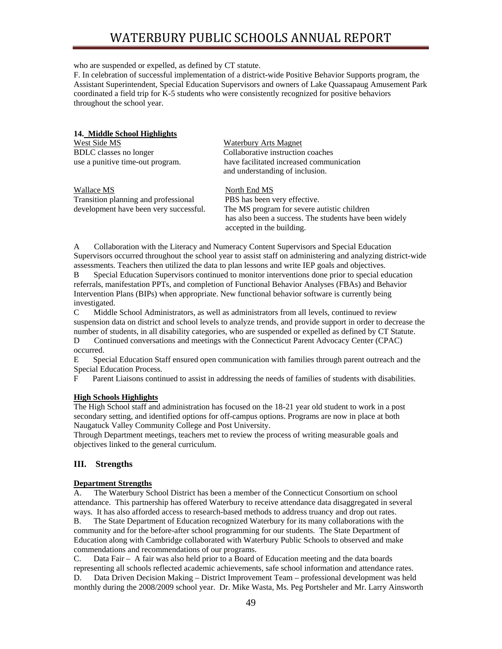# WATERBURY PUBLIC SCHOOLS ANNUAL REPORT

who are suspended or expelled, as defined by CT statute.

F. In celebration of successful implementation of a district-wide Positive Behavior Supports program, the Assistant Superintendent, Special Education Supervisors and owners of Lake Quassapaug Amusement Park coordinated a field trip for K-5 students who were consistently recognized for positive behaviors throughout the school year.

#### **14. Middle School Highlights**

| West Side MS                     | <b>Waterbury Arts Magnet</b>             |  |  |  |
|----------------------------------|------------------------------------------|--|--|--|
| BDLC classes no longer           | Collaborative instruction coaches        |  |  |  |
| use a punitive time-out program. | have facilitated increased communication |  |  |  |
|                                  | and understanding of inclusion.          |  |  |  |
|                                  |                                          |  |  |  |

| Wallace MS                             | North End MS                                           |
|----------------------------------------|--------------------------------------------------------|
| Transition planning and professional   | PBS has been very effective.                           |
| development have been very successful. | The MS program for severe autistic children            |
|                                        | has also been a success. The students have been widely |
|                                        | accepted in the building.                              |

A Collaboration with the Literacy and Numeracy Content Supervisors and Special Education Supervisors occurred throughout the school year to assist staff on administering and analyzing district-wide assessments. Teachers then utilized the data to plan lessons and write IEP goals and objectives.

B Special Education Supervisors continued to monitor interventions done prior to special education referrals, manifestation PPTs, and completion of Functional Behavior Analyses (FBAs) and Behavior Intervention Plans (BIPs) when appropriate. New functional behavior software is currently being investigated.

C Middle School Administrators, as well as administrators from all levels, continued to review suspension data on district and school levels to analyze trends, and provide support in order to decrease the number of students, in all disability categories, who are suspended or expelled as defined by CT Statute.

D Continued conversations and meetings with the Connecticut Parent Advocacy Center (CPAC) occurred.

E Special Education Staff ensured open communication with families through parent outreach and the Special Education Process.

F Parent Liaisons continued to assist in addressing the needs of families of students with disabilities.

#### **High Schools Highlights**

The High School staff and administration has focused on the 18-21 year old student to work in a post secondary setting, and identified options for off-campus options. Programs are now in place at both Naugatuck Valley Community College and Post University.

Through Department meetings, teachers met to review the process of writing measurable goals and objectives linked to the general curriculum.

## **III. Strengths**

#### **Department Strengths**

A. The Waterbury School District has been a member of the Connecticut Consortium on school attendance. This partnership has offered Waterbury to receive attendance data disaggregated in several ways. It has also afforded access to research-based methods to address truancy and drop out rates.

B. The State Department of Education recognized Waterbury for its many collaborations with the community and for the before-after school programming for our students. The State Department of Education along with Cambridge collaborated with Waterbury Public Schools to observed and make commendations and recommendations of our programs.

C. Data Fair – A fair was also held prior to a Board of Education meeting and the data boards representing all schools reflected academic achievements, safe school information and attendance rates. D. Data Driven Decision Making – District Improvement Team – professional development was held monthly during the 2008/2009 school year. Dr. Mike Wasta, Ms. Peg Portsheler and Mr. Larry Ainsworth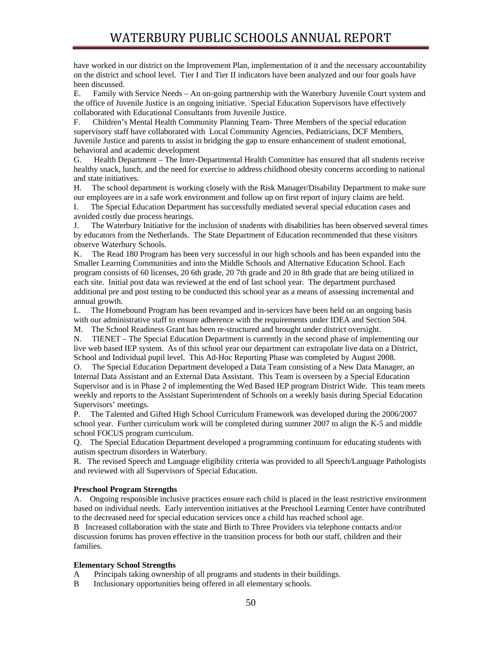have worked in our district on the Improvement Plan, implementation of it and the necessary accountability on the district and school level. Tier I and Tier II indicators have been analyzed and our four goals have been discussed.

E. Family with Service Needs – An on-going partnership with the Waterbury Juvenile Court system and the office of Juvenile Justice is an ongoing initiative. Special Education Supervisors have effectively collaborated with Educational Consultants from Juvenile Justice.

F. Children's Mental Health Community Planning Team- Three Members of the special education supervisory staff have collaborated with Local Community Agencies, Pediatricians, DCF Members, Juvenile Justice and parents to assist in bridging the gap to ensure enhancement of student emotional, behavioral and academic development

G. Health Department – The Inter-Departmental Health Committee has ensured that all students receive healthy snack, lunch, and the need for exercise to address childhood obesity concerns according to national and state initiatives.

H. The school department is working closely with the Risk Manager/Disability Department to make sure our employees are in a safe work environment and follow up on first report of injury claims are held.

I. The Special Education Department has successfully mediated several special education cases and avoided costly due process hearings.

J. The Waterbury Initiative for the inclusion of students with disabilities has been observed several times by educators from the Netherlands. The State Department of Education recommended that these visitors observe Waterbury Schools.

K. The Read 180 Program has been very successful in our high schools and has been expanded into the Smaller Learning Communities and into the Middle Schools and Alternative Education School. Each program consists of 60 licenses, 20 6th grade, 20 7th grade and 20 in 8th grade that are being utilized in each site. Initial post data was reviewed at the end of last school year. The department purchased additional pre and post testing to be conducted this school year as a means of assessing incremental and annual growth.

L. The Homebound Program has been revamped and in-services have been held on an ongoing basis with our administrative staff to ensure adherence with the requirements under IDEA and Section 504.

M. The School Readiness Grant has been re-structured and brought under district oversight.

N. TIENET – The Special Education Department is currently in the second phase of implementing our live web based IEP system. As of this school year our department can extrapolate live data on a District, School and Individual pupil level. This Ad-Hoc Reporting Phase was completed by August 2008.

O. The Special Education Department developed a Data Team consisting of a New Data Manager, an Internal Data Assistant and an External Data Assistant. This Team is overseen by a Special Education Supervisor and is in Phase 2 of implementing the Wed Based IEP program District Wide. This team meets weekly and reports to the Assistant Superintendent of Schools on a weekly basis during Special Education Supervisors' meetings.

P. The Talented and Gifted High School Curriculum Framework was developed during the 2006/2007 school year. Further curriculum work will be completed during summer 2007 to align the K-5 and middle school FOCUS program curriculum.

Q. The Special Education Department developed a programming continuum for educating students with autism spectrum disorders in Waterbury.

R. The revised Speech and Language eligibility criteria was provided to all Speech/Language Pathologists and reviewed with all Supervisors of Special Education.

#### **Preschool Program Strengths**

A. Ongoing responsible inclusive practices ensure each child is placed in the least restrictive environment based on individual needs. Early intervention initiatives at the Preschool Learning Center have contributed to the decreased need for special education services once a child has reached school age.

B Increased collaboration with the state and Birth to Three Providers via telephone contacts and/or discussion forums has proven effective in the transition process for both our staff, children and their families.

#### **Elementary School Strengths**

- A Principals taking ownership of all programs and students in their buildings.
- B Inclusionary opportunities being offered in all elementary schools.